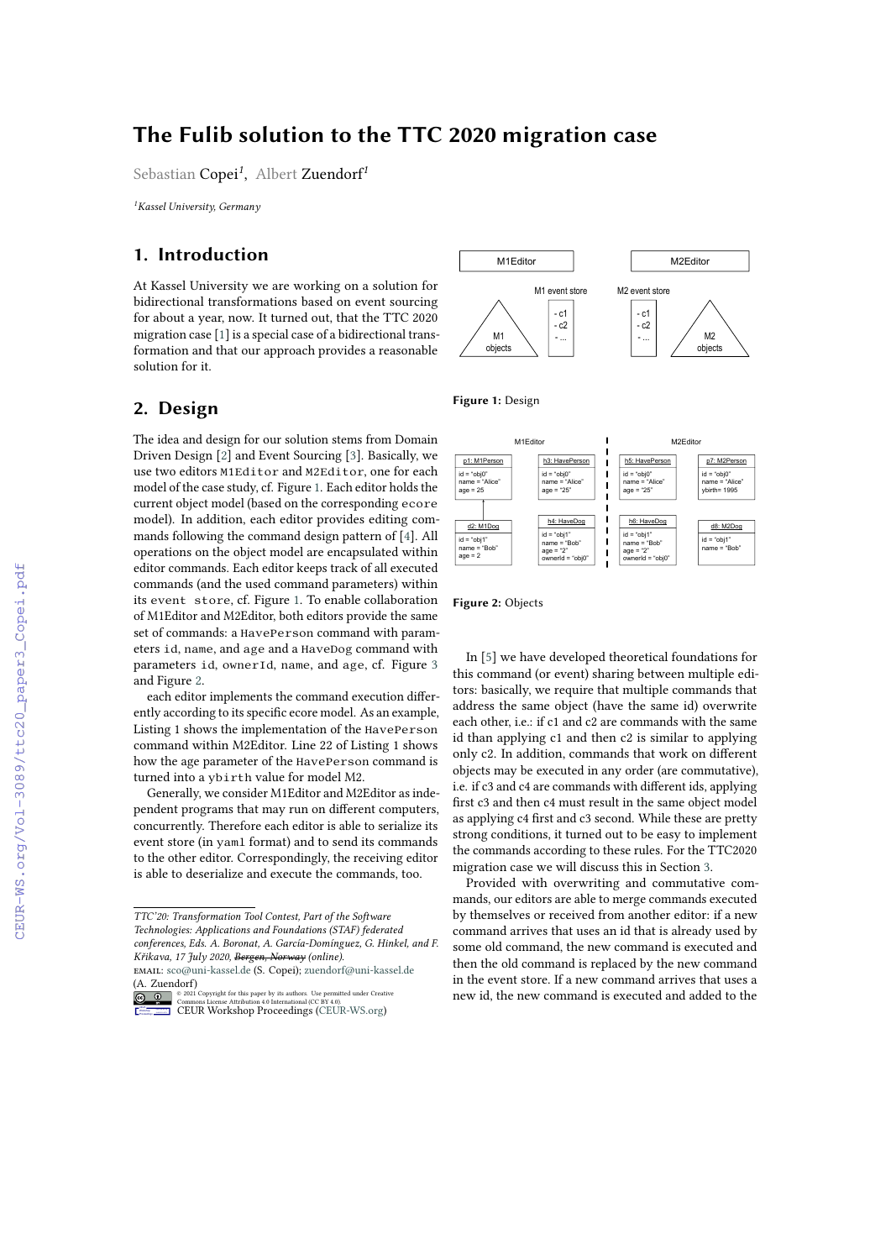# **The Fulib solution to the TTC 2020 migration case**

Sebastian Copei*<sup>1</sup>* , Albert Zuendorf*<sup>1</sup>*

*<sup>1</sup>Kassel University, Germany*

## **1. Introduction**

At Kassel University we are working on a solution for bidirectional transformations based on event sourcing for about a year, now. It turned out, that the TTC 2020 migration case [\[1\]](#page--1-0) is a special case of a bidirectional transformation and that our approach provides a reasonable solution for it.

### **2. Design**

The idea and design for our solution stems from Domain Driven Design [\[2\]](#page--1-1) and Event Sourcing [\[3\]](#page--1-2). Basically, we use two editors M1Editor and M2Editor, one for each model of the case study, cf. Figure [1.](#page-0-0) Each editor holds the current object model (based on the corresponding ecore model). In addition, each editor provides editing commands following the command design pattern of [\[4\]](#page--1-3). All operations on the object model are encapsulated within editor commands. Each editor keeps track of all executed commands (and the used command parameters) within its event store, cf. Figure [1.](#page-0-0) To enable collaboration of M1Editor and M2Editor, both editors provide the same set of commands: a HavePerson command with parameters id, name, and age and a HaveDog command with parameters id, ownerId, name, and age, cf. Figure [3](#page--1-4) and Figure [2.](#page-0-1)

each editor implements the command execution differently according to its specific ecore model. As an example, Listing 1 shows the implementation of the HavePerson command within M2Editor. Line 22 of Listing 1 shows how the age parameter of the HavePerson command is turned into a ybirth value for model M2.

Generally, we consider M1Editor and M2Editor as independent programs that may run on different computers, concurrently. Therefore each editor is able to serialize its event store (in yaml format) and to send its commands to the other editor. Correspondingly, the receiving editor is able to deserialize and execute the commands, too.



<span id="page-0-0"></span>**Figure 1:** Design



<span id="page-0-1"></span>**Figure 2:** Objects

In [\[5\]](#page--1-5) we have developed theoretical foundations for this command (or event) sharing between multiple editors: basically, we require that multiple commands that address the same object (have the same id) overwrite each other, i.e.: if c1 and c2 are commands with the same id than applying c1 and then c2 is similar to applying only c2. In addition, commands that work on different objects may be executed in any order (are commutative), i.e. if c3 and c4 are commands with different ids, applying first c3 and then c4 must result in the same object model as applying c4 first and c3 second. While these are pretty strong conditions, it turned out to be easy to implement the commands according to these rules. For the TTC2020 migration case we will discuss this in Section [3.](#page--1-6)

Provided with overwriting and commutative commands, our editors are able to merge commands executed by themselves or received from another editor: if a new command arrives that uses an id that is already used by some old command, the new command is executed and then the old command is replaced by the new command in the event store. If a new command arrives that uses a new id, the new command is executed and added to the

*TTC'20: Transformation Tool Contest, Part of the Software Technologies: Applications and Foundations (STAF) federated conferences, Eds. A. Boronat, A. García-Domínguez, G. Hinkel, and F. Křikava, 17 July 2020, Bergen, Norway (online).*

email: [sco@uni-kassel.de](mailto:sco@uni-kassel.de) (S. Copei); [zuendorf@uni-kassel.de](mailto:zuendorf@uni-kassel.de) (A. Zuendorf)

<sup>©</sup> 2021 Copyright for this paper by its authors. Use permitted under Creative Commons License Attribution 4.0 International (CC BY 4.0). **ERGINERY [CEUR](https://creativecommons.org/licenses/by/4.0) Workshop [Proceedings](http://ceur-ws.org) [\(CEUR-WS.org\)](http://ceur-ws.org)**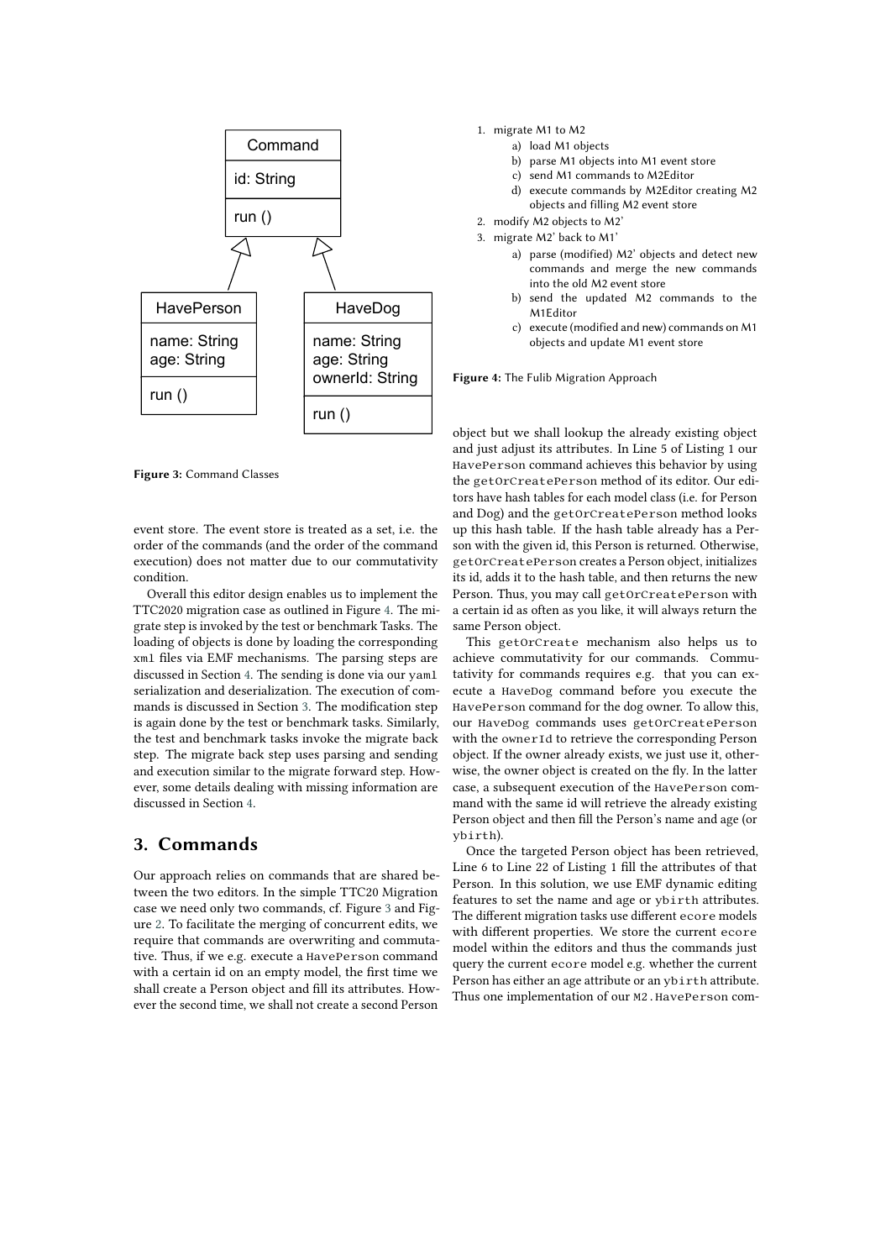

**Figure 3:** Command Classes

event store. The event store is treated as a set, i.e. the order of the commands (and the order of the command execution) does not matter due to our commutativity condition.

Overall this editor design enables us to implement the TTC2020 migration case as outlined in Figure [4.](#page-1-0) The migrate step is invoked by the test or benchmark Tasks. The loading of objects is done by loading the corresponding xml files via EMF mechanisms. The parsing steps are discussed in Section [4.](#page-2-0) The sending is done via our yaml serialization and deserialization. The execution of commands is discussed in Section [3.](#page-1-1) The modification step is again done by the test or benchmark tasks. Similarly, the test and benchmark tasks invoke the migrate back step. The migrate back step uses parsing and sending and execution similar to the migrate forward step. However, some details dealing with missing information are discussed in Section [4.](#page-2-0)

#### <span id="page-1-1"></span>**3. Commands**

Our approach relies on commands that are shared between the two editors. In the simple TTC20 Migration case we need only two commands, cf. Figure [3](#page-1-2) and Figure [2.](#page--1-7) To facilitate the merging of concurrent edits, we require that commands are overwriting and commutative. Thus, if we e.g. execute a HavePerson command with a certain id on an empty model, the first time we shall create a Person object and fill its attributes. However the second time, we shall not create a second Person

- 1. migrate M1 to M2
	- a) load M1 objects
		- b) parse M1 objects into M1 event store
		- c) send M1 commands to M2Editor
		- d) execute commands by M2Editor creating M2 objects and filling M2 event store
- 2. modify M2 objects to M2'
- 3. migrate M2' back to M1'
	- a) parse (modified) M2' objects and detect new commands and merge the new commands into the old M2 event store
	- b) send the updated M2 commands to the M1Editor
	- c) execute (modified and new) commands on M1 objects and update M1 event store

<span id="page-1-0"></span>**Figure 4:** The Fulib Migration Approach

<span id="page-1-2"></span>object but we shall lookup the already existing object and just adjust its attributes. In Line 5 of Listing 1 our HavePerson command achieves this behavior by using the getOrCreatePerson method of its editor. Our editors have hash tables for each model class (i.e. for Person and Dog) and the getOrCreatePerson method looks up this hash table. If the hash table already has a Person with the given id, this Person is returned. Otherwise, getOrCreatePerson creates a Person object, initializes its id, adds it to the hash table, and then returns the new Person. Thus, you may call getOrCreatePerson with a certain id as often as you like, it will always return the same Person object.

This getOrCreate mechanism also helps us to achieve commutativity for our commands. Commutativity for commands requires e.g. that you can execute a HaveDog command before you execute the HavePerson command for the dog owner. To allow this, our HaveDog commands uses getOrCreatePerson with the ownerId to retrieve the corresponding Person object. If the owner already exists, we just use it, otherwise, the owner object is created on the fly. In the latter case, a subsequent execution of the HavePerson command with the same id will retrieve the already existing Person object and then fill the Person's name and age (or ybirth).

Once the targeted Person object has been retrieved, Line 6 to Line 22 of Listing 1 fill the attributes of that Person. In this solution, we use EMF dynamic editing features to set the name and age or ybirth attributes. The different migration tasks use different ecore models with different properties. We store the current ecore model within the editors and thus the commands just query the current ecore model e.g. whether the current Person has either an age attribute or an ybirth attribute. Thus one implementation of our M2.HavePerson com-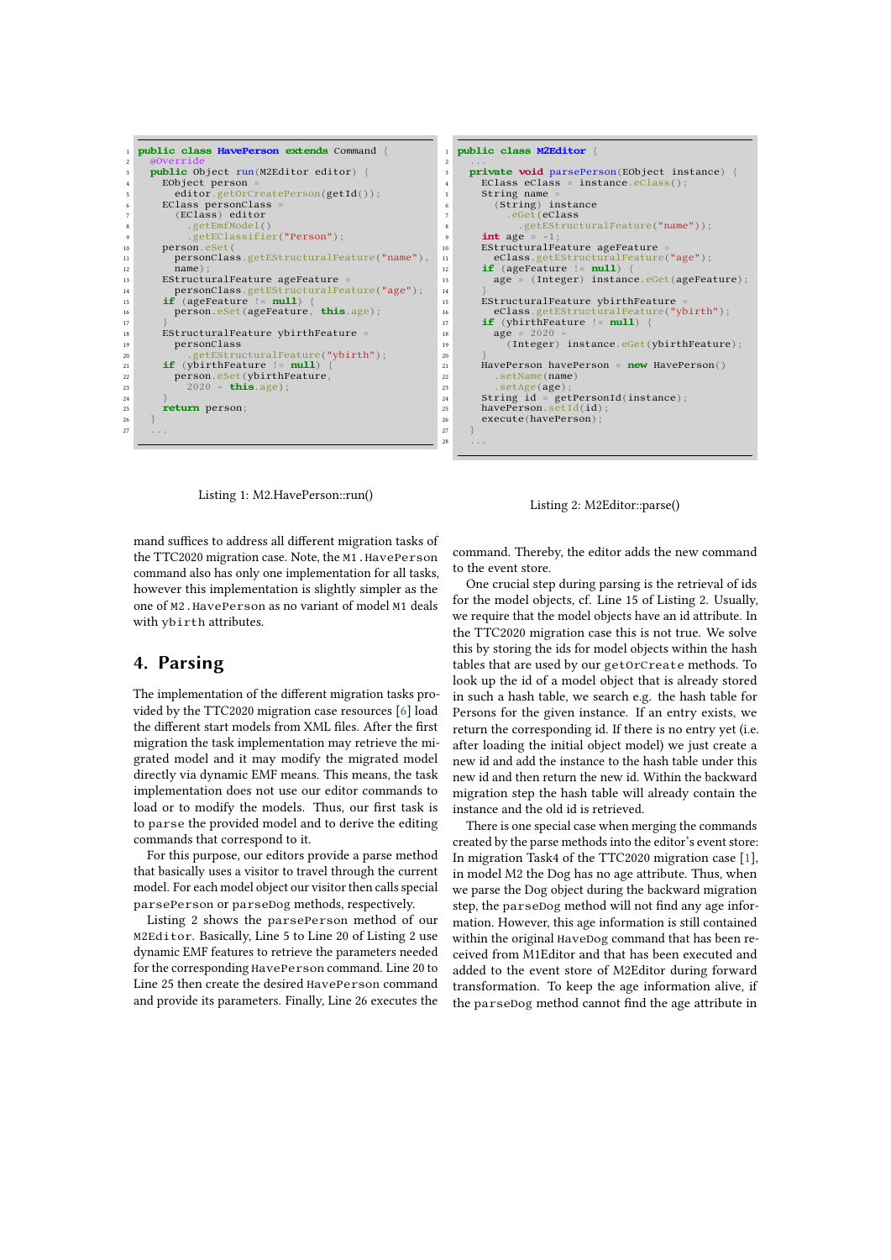```
1 public class HavePerson extends Command {
 2 @Override
3 public Object run(M2Editor editor) {
 4 EObject person =
5 editor.getOrCreatePerson(getId());
6 EClass personClass
           (EClass) editor
              getEmfModel
9 .getEClassifier("Person");<br>
no person.eSet(
\frac{10}{11} person.eSet
11 personClass.getEStructuralFeature("name"),<br>
name);
12 name);
13 EStructuralFeature ageFeature =
14 personClass.getEStructuralFeature("age");
15 if (ageFeature != null) {
16 person.eSet(ageFeature, this.age);
\frac{17}{18}18 EStructuralFeature ybirthFeature =<br>19 personClass
19 personClass<br>
20 personClass
20 .getEStructuralFeature("ybirth");<br>
21 if (ybirthFeature != null) {
<sup>21</sup> if (ybirthFeature person.eSet(ybir
22 person.eSet(ybirthFeature,
23 2020 - this.age);
24 }
25 return person;
26 }
27 ...
```

```
1 public class M2Editor {
2 ...
3 private void parsePerson(EObject instance) {
EClass eClass = instance.eClass()<br>string name =
5 String name<br>6 (String) i
            (String) instance
7 .eGet(eClass<br>8 .getEStruc
                  .getEStructuralFeature("name"));
         int age
10 EStructuralFeature ageFeature =<br>
eClass.getEStructuralFeature
11 eClass.getEStructuralFeature("age");
12 if (ageFeature != null) {
13 age = (Integer) instance.eGet(ageFeature);
         15 EStructuralFeature ybirthFeature =
16 eClass.getEStructuralFeature("ybirth");
17 if (ybirthFeature != null) {
\begin{array}{r}\n 18 \\
 19\n \end{array} age = 2020<br>
(Integer
              19 (Integer) instance.eGet(ybirthFeature);
21 HavePerson havePerson = new HavePerson()<br>22 SetName(name)
            .setName(name)<br>.setAge(age);
23 .setAge(age)<br>24 String id = ge
24 String id = getPersonId(instance);<br>
havePerson.setId(id);
26 execute(havePerson);
28 ...
```
 $\frac{14}{15}$ 

 $\frac{20}{21}$ 

27 }

Listing 1: M2.HavePerson::run()

Listing 2: M2Editor::parse()

mand suffices to address all different migration tasks of the TTC2020 migration case. Note, the M1.HavePerson command also has only one implementation for all tasks, however this implementation is slightly simpler as the one of M2.HavePerson as no variant of model M1 deals with ybirth attributes.

#### <span id="page-2-0"></span>**4. Parsing**

The implementation of the different migration tasks provided by the TTC2020 migration case resources [\[6\]](#page-3-0) load the different start models from XML files. After the first migration the task implementation may retrieve the migrated model and it may modify the migrated model directly via dynamic EMF means. This means, the task implementation does not use our editor commands to load or to modify the models. Thus, our first task is to parse the provided model and to derive the editing commands that correspond to it.

For this purpose, our editors provide a parse method that basically uses a visitor to travel through the current model. For each model object our visitor then calls special parsePerson or parseDog methods, respectively.

Listing 2 shows the parsePerson method of our M2Editor. Basically, Line 5 to Line 20 of Listing 2 use dynamic EMF features to retrieve the parameters needed for the corresponding HavePerson command. Line 20 to Line 25 then create the desired HavePerson command and provide its parameters. Finally, Line 26 executes the

command. Thereby, the editor adds the new command to the event store.

One crucial step during parsing is the retrieval of ids for the model objects, cf. Line 15 of Listing 2. Usually, we require that the model objects have an id attribute. In the TTC2020 migration case this is not true. We solve this by storing the ids for model objects within the hash tables that are used by our getOrCreate methods. To look up the id of a model object that is already stored in such a hash table, we search e.g. the hash table for Persons for the given instance. If an entry exists, we return the corresponding id. If there is no entry yet (i.e. after loading the initial object model) we just create a new id and add the instance to the hash table under this new id and then return the new id. Within the backward migration step the hash table will already contain the instance and the old id is retrieved.

There is one special case when merging the commands created by the parse methods into the editor's event store: In migration Task4 of the TTC2020 migration case [\[1\]](#page-3-1), in model M2 the Dog has no age attribute. Thus, when we parse the Dog object during the backward migration step, the parseDog method will not find any age information. However, this age information is still contained within the original HaveDog command that has been received from M1Editor and that has been executed and added to the event store of M2Editor during forward transformation. To keep the age information alive, if the parseDog method cannot find the age attribute in